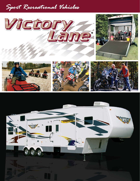## Sport Recreational Vehicles

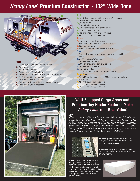## *Victory Lane***<sup>®</sup> Premium Construction - 102" Wide Body**



#### **Walls**

- 1. Laminated, high-gloss fiberglass bonded walls
- 2. Wood backer
- 3. Welded aluminum frame
- 4. Polystyrene block foam insulation
- 5. Second layer of 1/8" wood backer with decorative wallboard
- **6.** A & E checkered flag patio awning
- 7. Tinted radius clamp-ring windows
- 8. Radius cornered baggage doors with lock and finger pull
- 9. Reinforced Gel Coat fiberglass cap

#### Roof

- 10. Fully decked walk-on roof with one-piece EPDM rubber roof membrane - 12 year rubber warranty
- 11.3/8" roof decking
- 12. Residential fiberglass insulation
- 13.5" Tapered truss roof rafters on 16" centers
- 14.Ducted roof air conditioning
- 15. Rain gutter molding with corner downspouts
- 16.13,500 BTU ducted air conditioning

#### **Chassis**

- 17. Steel I-beam frame with outriggers.
- 18. Radial tires on leaf spring axles with EZ-lube hubs
- 19.Triple fold-away steps
- 20. Standard electric front jacks with quick release

#### Floor

- 21. Polypropylene water resistant barrier attached to bottom of floor structure
- 22.2" x 3" floor joists, 12" on center
- 23. Residential fiberglass insulation
- 24.5/8" 5-ply tongue-and-groove plywood floor
- 25.Residential tile-like linoleum
- 26. Residential carpeting 27. Optional insulated, heated and enclosed underbelly

### Cargo Area Cargo Area

- 28. Spring-lift assisted cargo door with 2500 lb. capacity and anti-slip Anti-slip finish
- 29. 29. Steel web framing under garage floor
- 30. E-track cargo management system
- 31. 1" Thick, one-piece OSB garage floor



## **Well-Equipped Cargo Areas and Premium Toy Hauler Features Make Victory Lane Your Best Value!**

*There is more to a SRV than the cargo area.* Victory Lane's<sup>®</sup> interiors are designed for comfort and value. Victory Lane<sup>®</sup> is loaded with features that are usually found as upgrades on the competitor's products. Residential furnishings, full size slide rooms and designer decors with residential lighting and solid wood raised panel cabinet doors are just a few of the standard features that make Victory Lane<sup>®</sup> your best SRV value.



104 to 150 Gallon Fresh Water Capacity: Victory Lane<sup>®</sup> features one of the largest fresh water tanks in the industry. Our tanks are the perfect size for a weekend of offroad adventures. Plus, 35 ft. and larger fifth wheels feature dual gray water tanks with a total capacity of 84 gallons. (See weight chart for details)

Tie Down System: An adjustable E-Track cargo management system is a standard feature and includes 4 mounting straps.

Toy Hauler Flooring: A durable anti-slip rubber diamond-plate flooring is available as an upgrade on Victory Lane<sup>®</sup>.

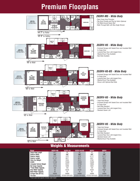# **Premium Floorplans**



### **Weights & Measurements**

| <b>Model</b>                   | <b>26SRV-M5</b> | 35SRV-H5       | 35SRV-H5-BS    | 36SRV          | 38SRV          |
|--------------------------------|-----------------|----------------|----------------|----------------|----------------|
| Cargo Area Length              | 14'7''          | 10'            | 10'            | 12'            | 12'            |
| <b>Exterior Width</b>          | 102"            | 102"           | 102"           | 102"           | 102"           |
| <b>Exterior Height</b>         | 12'3''          | 12'9''         | 12'9''         | 12'11"         | 12'11"         |
| <b>Exterior Length</b>         | 31'10"          | 39'5''         | 39'5''         | 39'5''         | 39'5''         |
| <b>Hitch Dry Weight</b>        | 1931            | 2204           | 2613           | 2763           | 2699           |
| <b>GVWR</b>                    | 12192           | 15500          | 15500          | 15500          | 15500          |
| <b>Unloaded Vehicle Weight</b> | 7474            | 10231          | 10795          | 10855          | 11641          |
| <b>Net Cargo Capacity</b>      | 4718            | 5269           | 4705           | 4645           | 3859           |
| *Fresh Water Capacity          | 104             | 104            | 104            | 104            | 150            |
| <b>Grey Water Capacity</b>     | 42              | 42/42          | 42/42          | 42/42          | 42/42          |
| <b>Black Water Capacity</b>    | 42              | 42             | 42             | 42             | 42             |
| Furnace Size (BTU's)           | 30000           | 34000          | 34000          | 34000          | 34000          |
| <b>Tire Size</b>               | ST225/75R15(D)  | ST225/75R15(D) | ST225/75R15(D) | ST225/75R15(D) | ST225/75R15(D) |

\*Fresh water tank capacity includes water heater